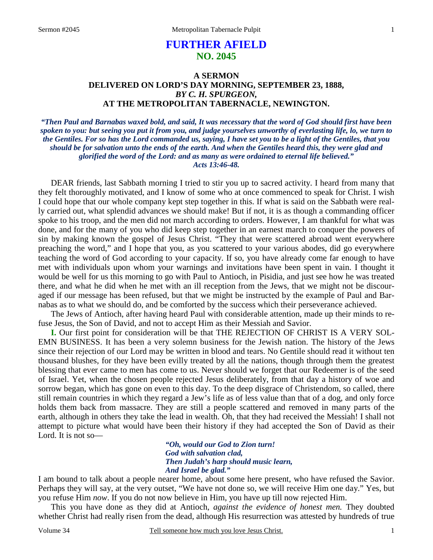# **FURTHER AFIELD NO. 2045**

## **A SERMON DELIVERED ON LORD'S DAY MORNING, SEPTEMBER 23, 1888,**  *BY C. H. SPURGEON,*  **AT THE METROPOLITAN TABERNACLE, NEWINGTON.**

*"Then Paul and Barnabas waxed bold, and said, It was necessary that the word of God should first have been spoken to you: but seeing you put it from you, and judge yourselves unworthy of everlasting life, lo, we turn to the Gentiles. For so has the Lord commanded us, saying, I have set you to be a light of the Gentiles, that you should be for salvation unto the ends of the earth. And when the Gentiles heard this, they were glad and glorified the word of the Lord: and as many as were ordained to eternal life believed." Acts 13:46-48.* 

DEAR friends, last Sabbath morning I tried to stir you up to sacred activity. I heard from many that they felt thoroughly motivated, and I know of some who at once commenced to speak for Christ. I wish I could hope that our whole company kept step together in this. If what is said on the Sabbath were really carried out, what splendid advances we should make! But if not, it is as though a commanding officer spoke to his troop, and the men did not march according to orders. However, I am thankful for what was done, and for the many of you who did keep step together in an earnest march to conquer the powers of sin by making known the gospel of Jesus Christ. "They that were scattered abroad went everywhere preaching the word," and I hope that you, as you scattered to your various abodes, did go everywhere teaching the word of God according to your capacity. If so, you have already come far enough to have met with individuals upon whom your warnings and invitations have been spent in vain. I thought it would be well for us this morning to go with Paul to Antioch, in Pisidia, and just see how he was treated there, and what he did when he met with an ill reception from the Jews, that we might not be discouraged if our message has been refused, but that we might be instructed by the example of Paul and Barnabas as to what we should do, and be comforted by the success which their perseverance achieved.

The Jews of Antioch, after having heard Paul with considerable attention, made up their minds to refuse Jesus, the Son of David, and not to accept Him as their Messiah and Savior.

**I.** Our first point for consideration will be that THE REJECTION OF CHRIST IS A VERY SOL-EMN BUSINESS. It has been a very solemn business for the Jewish nation. The history of the Jews since their rejection of our Lord may be written in blood and tears. No Gentile should read it without ten thousand blushes, for they have been evilly treated by all the nations, though through them the greatest blessing that ever came to men has come to us. Never should we forget that our Redeemer is of the seed of Israel. Yet, when the chosen people rejected Jesus deliberately, from that day a history of woe and sorrow began, which has gone on even to this day. To the deep disgrace of Christendom, so called, there still remain countries in which they regard a Jew's life as of less value than that of a dog, and only force holds them back from massacre. They are still a people scattered and removed in many parts of the earth, although in others they take the lead in wealth. Oh, that they had received the Messiah! I shall not attempt to picture what would have been their history if they had accepted the Son of David as their Lord. It is not so—

> *"Oh, would our God to Zion turn! God with salvation clad, Then Judah's harp should music learn, And Israel be glad."*

I am bound to talk about a people nearer home, about some here present, who have refused the Savior. Perhaps they will say, at the very outset, "We have not done so, we will receive Him one day." Yes, but you refuse Him *now*. If you do not now believe in Him, you have up till now rejected Him.

This you have done as they did at Antioch, *against the evidence of honest men.* They doubted whether Christ had really risen from the dead, although His resurrection was attested by hundreds of true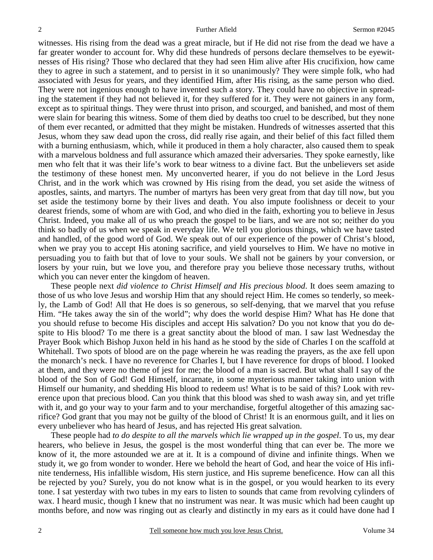witnesses. His rising from the dead was a great miracle, but if He did not rise from the dead we have a far greater wonder to account for. Why did these hundreds of persons declare themselves to be eyewitnesses of His rising? Those who declared that they had seen Him alive after His crucifixion, how came they to agree in such a statement, and to persist in it so unanimously? They were simple folk, who had associated with Jesus for years, and they identified Him, after His rising, as the same person who died. They were not ingenious enough to have invented such a story. They could have no objective in spreading the statement if they had not believed it, for they suffered for it. They were not gainers in any form, except as to spiritual things. They were thrust into prison, and scourged, and banished, and most of them were slain for bearing this witness. Some of them died by deaths too cruel to be described, but they none of them ever recanted, or admitted that they might be mistaken. Hundreds of witnesses asserted that this Jesus, whom they saw dead upon the cross, did really rise again, and their belief of this fact filled them with a burning enthusiasm, which, while it produced in them a holy character, also caused them to speak with a marvelous boldness and full assurance which amazed their adversaries. They spoke earnestly, like men who felt that it was their life's work to bear witness to a divine fact. But the unbelievers set aside the testimony of these honest men. My unconverted hearer, if you do not believe in the Lord Jesus Christ, and in the work which was crowned by His rising from the dead, you set aside the witness of apostles, saints, and martyrs. The number of martyrs has been very great from that day till now, but you set aside the testimony borne by their lives and death. You also impute foolishness or deceit to your dearest friends, some of whom are with God, and who died in the faith, exhorting you to believe in Jesus Christ. Indeed, you make all of us who preach the gospel to be liars, and we are not so; neither do you think so badly of us when we speak in everyday life. We tell you glorious things, which we have tasted and handled, of the good word of God. We speak out of our experience of the power of Christ's blood, when we pray you to accept His atoning sacrifice, and yield yourselves to Him. We have no motive in persuading you to faith but that of love to your souls. We shall not be gainers by your conversion, or losers by your ruin, but we love you, and therefore pray you believe those necessary truths, without which you can never enter the kingdom of heaven.

These people next *did violence to Christ Himself and His precious blood*. It does seem amazing to those of us who love Jesus and worship Him that any should reject Him. He comes so tenderly, so meekly, the Lamb of God! All that He does is so generous, so self-denying, that we marvel that you refuse Him. "He takes away the sin of the world"; why does the world despise Him? What has He done that you should refuse to become His disciples and accept His salvation? Do you not know that you do despite to His blood? To me there is a great sanctity about the blood of man. I saw last Wednesday the Prayer Book which Bishop Juxon held in his hand as he stood by the side of Charles I on the scaffold at Whitehall. Two spots of blood are on the page wherein he was reading the prayers, as the axe fell upon the monarch's neck. I have no reverence for Charles I, but I have reverence for drops of blood. I looked at them, and they were no theme of jest for me; the blood of a man is sacred. But what shall I say of the blood of the Son of God! God Himself, incarnate, in some mysterious manner taking into union with Himself our humanity, and shedding His blood to redeem us! What is to be said of this? Look with reverence upon that precious blood. Can you think that this blood was shed to wash away sin, and yet trifle with it, and go your way to your farm and to your merchandise, forgetful altogether of this amazing sacrifice? God grant that you may not be guilty of the blood of Christ! It is an enormous guilt, and it lies on every unbeliever who has heard of Jesus, and has rejected His great salvation.

These people had *to do despite to all the marvels which lie wrapped up in the gospel*. To us, my dear hearers, who believe in Jesus, the gospel is the most wonderful thing that can ever be. The more we know of it, the more astounded we are at it. It is a compound of divine and infinite things. When we study it, we go from wonder to wonder. Here we behold the heart of God, and hear the voice of His infinite tenderness, His infallible wisdom, His stern justice, and His supreme beneficence. How can all this be rejected by you? Surely, you do not know what is in the gospel, or you would hearken to its every tone. I sat yesterday with two tubes in my ears to listen to sounds that came from revolving cylinders of wax. I heard music, though I knew that no instrument was near. It was music which had been caught up months before, and now was ringing out as clearly and distinctly in my ears as it could have done had I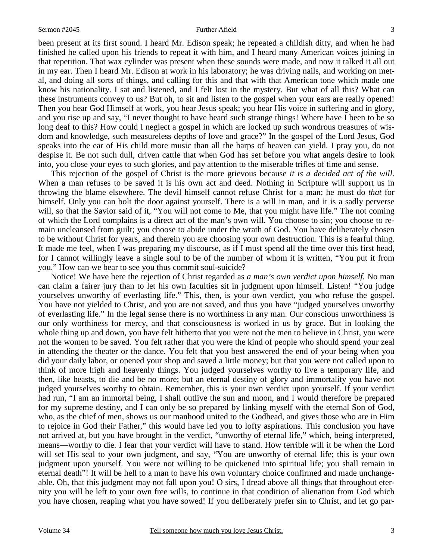been present at its first sound. I heard Mr. Edison speak; he repeated a childish ditty, and when he had finished he called upon his friends to repeat it with him, and I heard many American voices joining in that repetition. That wax cylinder was present when these sounds were made, and now it talked it all out in my ear. Then I heard Mr. Edison at work in his laboratory; he was driving nails, and working on metal, and doing all sorts of things, and calling for this and that with that American tone which made one know his nationality. I sat and listened, and I felt lost in the mystery. But what of all this? What can these instruments convey to us? But oh, to sit and listen to the gospel when your ears are really opened! Then you hear God Himself at work, you hear Jesus speak; you hear His voice in suffering and in glory, and you rise up and say, "I never thought to have heard such strange things! Where have I been to be so long deaf to this? How could I neglect a gospel in which are locked up such wondrous treasures of wisdom and knowledge, such measureless depths of love and grace?" In the gospel of the Lord Jesus, God speaks into the ear of His child more music than all the harps of heaven can yield. I pray you, do not despise it. Be not such dull, driven cattle that when God has set before you what angels desire to look into, you close your eyes to such glories, and pay attention to the miserable trifles of time and sense.

This rejection of the gospel of Christ is the more grievous because *it is a decided act of the will*. When a man refuses to be saved it is his own act and deed. Nothing in Scripture will support us in throwing the blame elsewhere. The devil himself cannot refuse Christ for a man; he must do *that* for himself. Only you can bolt the door against yourself. There is a will in man, and it is a sadly perverse will, so that the Savior said of it, "You will not come to Me, that you might have life." The not coming of which the Lord complains is a direct act of the man's own will. You choose to sin; you choose to remain uncleansed from guilt; you choose to abide under the wrath of God. You have deliberately chosen to be without Christ for years, and therein you are choosing your own destruction. This is a fearful thing. It made me feel, when I was preparing my discourse, as if I must spend all the time over this first head, for I cannot willingly leave a single soul to be of the number of whom it is written, "You put it from you." How can we bear to see you thus commit soul-suicide?

Notice! We have here the rejection of Christ regarded as *a man's own verdict upon himself.* No man can claim a fairer jury than to let his own faculties sit in judgment upon himself. Listen! "You judge yourselves unworthy of everlasting life." This, then, is your own verdict, you who refuse the gospel. You have not yielded to Christ, and you are not saved, and thus you have "judged yourselves unworthy of everlasting life." In the legal sense there is no worthiness in any man. Our conscious unworthiness is our only worthiness for mercy, and that consciousness is worked in us by grace. But in looking the whole thing up and down, you have felt hitherto that you were not the men to believe in Christ, you were not the women to be saved. You felt rather that you were the kind of people who should spend your zeal in attending the theater or the dance. You felt that you best answered the end of your being when you did your daily labor, or opened your shop and saved a little money; but that you were not called upon to think of more high and heavenly things. You judged yourselves worthy to live a temporary life, and then, like beasts, to die and be no more; but an eternal destiny of glory and immortality you have not judged yourselves worthy to obtain. Remember, this is your own verdict upon yourself. If your verdict had run, "I am an immortal being, I shall outlive the sun and moon, and I would therefore be prepared for my supreme destiny, and I can only be so prepared by linking myself with the eternal Son of God, who, as the chief of men, shows us our manhood united to the Godhead, and gives those who are in Him to rejoice in God their Father," this would have led you to lofty aspirations. This conclusion you have not arrived at, but you have brought in the verdict, "unworthy of eternal life," which, being interpreted, means—worthy to die. I fear that your verdict will have to stand. How terrible will it be when the Lord will set His seal to your own judgment, and say, "You are unworthy of eternal life; this is your own judgment upon yourself. You were not willing to be quickened into spiritual life; you shall remain in eternal death"! It will be hell to a man to have his own voluntary choice confirmed and made unchangeable. Oh, that this judgment may not fall upon you! O sirs, I dread above all things that throughout eternity you will be left to your own free wills, to continue in that condition of alienation from God which you have chosen, reaping what you have sowed! If you deliberately prefer sin to Christ, and let go par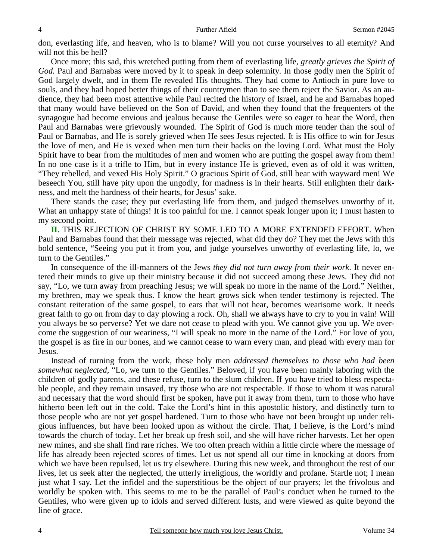don, everlasting life, and heaven, who is to blame? Will you not curse yourselves to all eternity? And will not this be hell?

Once more; this sad, this wretched putting from them of everlasting life, *greatly grieves the Spirit of God.* Paul and Barnabas were moved by it to speak in deep solemnity. In those godly men the Spirit of God largely dwelt, and in them He revealed His thoughts. They had come to Antioch in pure love to souls, and they had hoped better things of their countrymen than to see them reject the Savior. As an audience, they had been most attentive while Paul recited the history of Israel, and he and Barnabas hoped that many would have believed on the Son of David, and when they found that the frequenters of the synagogue had become envious and jealous because the Gentiles were so eager to hear the Word, then Paul and Barnabas were grievously wounded. The Spirit of God is much more tender than the soul of Paul or Barnabas, and He is sorely grieved when He sees Jesus rejected. It is His office to win for Jesus the love of men, and He is vexed when men turn their backs on the loving Lord. What must the Holy Spirit have to bear from the multitudes of men and women who are putting the gospel away from them! In no one case is it a trifle to Him, but in every instance He is grieved, even as of old it was written, "They rebelled, and vexed His Holy Spirit." O gracious Spirit of God, still bear with wayward men! We beseech You, still have pity upon the ungodly, for madness is in their hearts. Still enlighten their darkness, and melt the hardness of their hearts, for Jesus' sake.

There stands the case; they put everlasting life from them, and judged themselves unworthy of it. What an unhappy state of things! It is too painful for me. I cannot speak longer upon it; I must hasten to my second point.

**II.** THIS REJECTION OF CHRIST BY SOME LED TO A MORE EXTENDED EFFORT. When Paul and Barnabas found that their message was rejected, what did they do? They met the Jews with this bold sentence, "Seeing you put it from you, and judge yourselves unworthy of everlasting life, lo, we turn to the Gentiles."

In consequence of the ill-manners of the Jews *they did not turn away from their work*. It never entered their minds to give up their ministry because it did not succeed among these Jews. They did not say, "Lo, we turn away from preaching Jesus; we will speak no more in the name of the Lord." Neither, my brethren, may we speak thus. I know the heart grows sick when tender testimony is rejected. The constant reiteration of the same gospel, to ears that will not hear, becomes wearisome work. It needs great faith to go on from day to day plowing a rock. Oh, shall we always have to cry to you in vain! Will you always be so perverse? Yet we dare not cease to plead with you. We cannot give you up. We overcome the suggestion of our weariness, "I will speak no more in the name of the Lord." For love of you, the gospel is as fire in our bones, and we cannot cease to warn every man, and plead with every man for Jesus.

Instead of turning from the work, these holy men *addressed themselves to those who had been somewhat neglected,* "Lo, we turn to the Gentiles." Beloved, if you have been mainly laboring with the children of godly parents, and these refuse, turn to the slum children. If you have tried to bless respectable people, and they remain unsaved, try those who are not respectable. If those to whom it was natural and necessary that the word should first be spoken, have put it away from them, turn to those who have hitherto been left out in the cold. Take the Lord's hint in this apostolic history, and distinctly turn to those people who are not yet gospel hardened. Turn to those who have not been brought up under religious influences, but have been looked upon as without the circle. That, I believe, is the Lord's mind towards the church of today. Let her break up fresh soil, and she will have richer harvests. Let her open new mines, and she shall find rare riches. We too often preach within a little circle where the message of life has already been rejected scores of times. Let us not spend all our time in knocking at doors from which we have been repulsed, let us try elsewhere. During this new week, and throughout the rest of our lives, let us seek after the neglected, the utterly irreligious, the worldly and profane. Startle not; I mean just what I say. Let the infidel and the superstitious be the object of our prayers; let the frivolous and worldly be spoken with. This seems to me to be the parallel of Paul's conduct when he turned to the Gentiles, who were given up to idols and served different lusts, and were viewed as quite beyond the line of grace.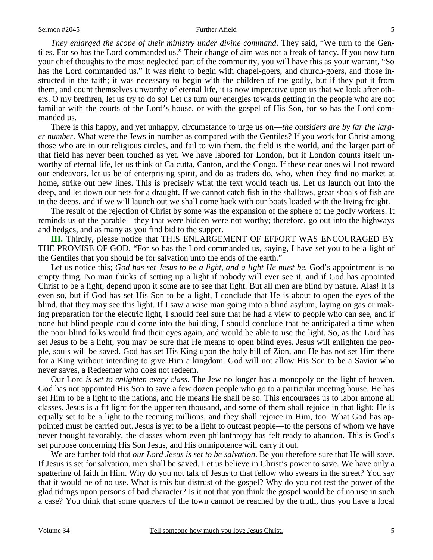*They enlarged the scope of their ministry under divine command*. They said, "We turn to the Gentiles. For so has the Lord commanded us." Their change of aim was not a freak of fancy. If you now turn your chief thoughts to the most neglected part of the community, you will have this as your warrant, "So has the Lord commanded us." It was right to begin with chapel-goers, and church-goers, and those instructed in the faith; it was necessary to begin with the children of the godly, but if they put it from them, and count themselves unworthy of eternal life, it is now imperative upon us that we look after others. O my brethren, let us try to do so! Let us turn our energies towards getting in the people who are not familiar with the courts of the Lord's house, or with the gospel of His Son, for so has the Lord commanded us.

There is this happy, and yet unhappy, circumstance to urge us on—*the outsiders are by far the larger number.* What were the Jews in number as compared with the Gentiles? If you work for Christ among those who are in our religious circles, and fail to win them, the field is the world, and the larger part of that field has never been touched as yet. We have labored for London, but if London counts itself unworthy of eternal life, let us think of Calcutta, Canton, and the Congo. If these near ones will not reward our endeavors, let us be of enterprising spirit, and do as traders do, who, when they find no market at home, strike out new lines. This is precisely what the text would teach us. Let us launch out into the deep, and let down our nets for a draught. If we cannot catch fish in the shallows, great shoals of fish are in the deeps, and if we will launch out we shall come back with our boats loaded with the living freight.

The result of the rejection of Christ by some was the expansion of the sphere of the godly workers. It reminds us of the parable—they that were bidden were not worthy; therefore, go out into the highways and hedges, and as many as you find bid to the supper.

**III.** Thirdly, please notice that THIS ENLARGEMENT OF EFFORT WAS ENCOURAGED BY THE PROMISE OF GOD. "For so has the Lord commanded us, saying, I have set you to be a light of the Gentiles that you should be for salvation unto the ends of the earth."

Let us notice this; *God has set Jesus to be a light, and a light He must be.* God's appointment is no empty thing. No man thinks of setting up a light if nobody will ever see it, and if God has appointed Christ to be a light, depend upon it some are to see that light. But all men are blind by nature. Alas! It is even so, but if God has set His Son to be a light, I conclude that He is about to open the eyes of the blind, that they may see this light. If I saw a wise man going into a blind asylum, laying on gas or making preparation for the electric light, I should feel sure that he had a view to people who can see, and if none but blind people could come into the building, I should conclude that he anticipated a time when the poor blind folks would find their eyes again, and would be able to use the light. So, as the Lord has set Jesus to be a light, you may be sure that He means to open blind eyes. Jesus will enlighten the people, souls will be saved. God has set His King upon the holy hill of Zion, and He has not set Him there for a King without intending to give Him a kingdom. God will not allow His Son to be a Savior who never saves, a Redeemer who does not redeem.

Our Lord *is set to enlighten every class*. The Jew no longer has a monopoly on the light of heaven. God has not appointed His Son to save a few dozen people who go to a particular meeting house. He has set Him to be a light to the nations, and He means He shall be so. This encourages us to labor among all classes. Jesus is a fit light for the upper ten thousand, and some of them shall rejoice in that light; He is equally set to be a light to the teeming millions, and they shall rejoice in Him, too. What God has appointed must be carried out. Jesus is yet to be a light to outcast people—to the persons of whom we have never thought favorably, the classes whom even philanthropy has felt ready to abandon. This is God's set purpose concerning His Son Jesus, and His omnipotence will carry it out.

We are further told that *our Lord Jesus is set to be salvation*. Be you therefore sure that He will save. If Jesus is set for salvation, men shall be saved. Let us believe in Christ's power to save. We have only a spattering of faith in Him. Why do you not talk of Jesus to that fellow who swears in the street? You say that it would be of no use. What is this but distrust of the gospel? Why do you not test the power of the glad tidings upon persons of bad character? Is it not that you think the gospel would be of no use in such a case? You think that some quarters of the town cannot be reached by the truth, thus you have a local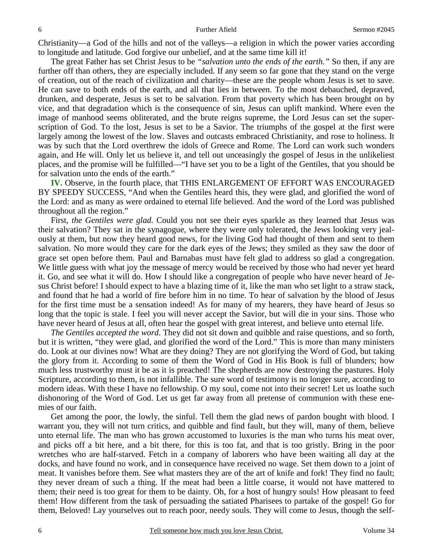Christianity—a God of the hills and not of the valleys—a religion in which the power varies according to longitude and latitude. God forgive our unbelief, and at the same time kill it!

The great Father has set Christ Jesus to be *"salvation unto the ends of the earth."* So then, if any are further off than others, they are especially included. If any seem so far gone that they stand on the verge of creation, out of the reach of civilization and charity—these are the people whom Jesus is set to save. He can save to both ends of the earth, and all that lies in between. To the most debauched, depraved, drunken, and desperate, Jesus is set to be salvation. From that poverty which has been brought on by vice, and that degradation which is the consequence of sin, Jesus can uplift mankind. Where even the image of manhood seems obliterated, and the brute reigns supreme, the Lord Jesus can set the superscription of God. To the lost, Jesus is set to be a Savior. The triumphs of the gospel at the first were largely among the lowest of the low. Slaves and outcasts embraced Christianity, and rose to holiness. It was by such that the Lord overthrew the idols of Greece and Rome. The Lord can work such wonders again, and He will. Only let us believe it, and tell out unceasingly the gospel of Jesus in the unlikeliest places, and the promise will be fulfilled—"I have set you to be a light of the Gentiles, that you should be for salvation unto the ends of the earth."

**IV.** Observe, in the fourth place, that THIS ENLARGEMENT OF EFFORT WAS ENCOURAGED BY SPEEDY SUCCESS, "And when the Gentiles heard this, they were glad, and glorified the word of the Lord: and as many as were ordained to eternal life believed. And the word of the Lord was published throughout all the region."

First, *the Gentiles were glad*. Could you not see their eyes sparkle as they learned that Jesus was their salvation? They sat in the synagogue, where they were only tolerated, the Jews looking very jealously at them, but now they heard good news, for the living God had thought of them and sent to them salvation. No more would they care for the dark eyes of the Jews; they smiled as they saw the door of grace set open before them. Paul and Barnabas must have felt glad to address so glad a congregation. We little guess with what joy the message of mercy would be received by those who had never yet heard it. Go, and see what it will do. How I should like a congregation of people who have never heard of Jesus Christ before! I should expect to have a blazing time of it, like the man who set light to a straw stack, and found that he had a world of fire before him in no time. To hear of salvation by the blood of Jesus for the first time must be a sensation indeed! As for many of my hearers, they have heard of Jesus so long that the topic is stale. I feel you will never accept the Savior, but will die in your sins. Those who have never heard of Jesus at all, often hear the gospel with great interest, and believe unto eternal life.

*The Gentiles accepted the word*. They did not sit down and quibble and raise questions, and so forth, but it is written, "they were glad, and glorified the word of the Lord." This is more than many ministers do. Look at our divines now! What are they doing? They are not glorifying the Word of God, but taking the glory from it. According to some of them the Word of God in His Book is full of blunders; how much less trustworthy must it be as it is preached! The shepherds are now destroying the pastures. Holy Scripture, according to them, is not infallible. The sure word of testimony is no longer sure, according to modern ideas. With these I have no fellowship. O my soul, come not into their secret! Let us loathe such dishonoring of the Word of God. Let us get far away from all pretense of communion with these enemies of our faith.

Get among the poor, the lowly, the sinful. Tell them the glad news of pardon bought with blood. I warrant you, they will not turn critics, and quibble and find fault, but they will, many of them, believe unto eternal life. The man who has grown accustomed to luxuries is the man who turns his meat over, and picks off a bit here, and a bit there, for this is too fat, and that is too gristly. Bring in the poor wretches who are half-starved. Fetch in a company of laborers who have been waiting all day at the docks, and have found no work, and in consequence have received no wage. Set them down to a joint of meat. It vanishes before them. See what masters they are of the art of knife and fork! They find no fault; they never dream of such a thing. If the meat had been a little coarse, it would not have mattered to them; their need is too great for them to be dainty. Oh, for a host of hungry souls! How pleasant to feed them! How different from the task of persuading the satiated Pharisees to partake of the gospel! Go for them, Beloved! Lay yourselves out to reach poor, needy souls. They will come to Jesus, though the self-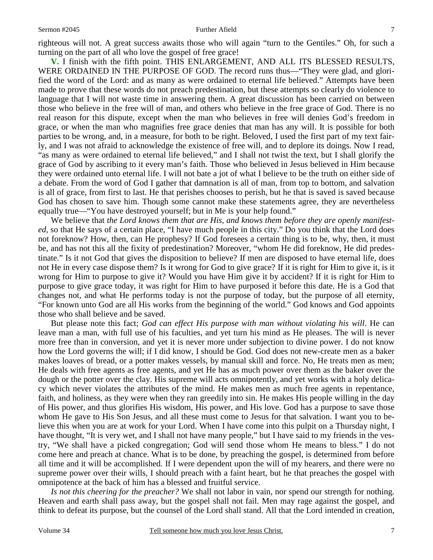righteous will not. A great success awaits those who will again "turn to the Gentiles." Oh, for such a turning on the part of all who love the gospel of free grace!

**V.** I finish with the fifth point. THIS ENLARGEMENT, AND ALL ITS BLESSED RESULTS, WERE ORDAINED IN THE PURPOSE OF GOD. The record runs thus—"They were glad, and glorified the word of the Lord: and as many as were ordained to eternal life believed." Attempts have been made to prove that these words do not preach predestination, but these attempts so clearly do violence to language that I will not waste time in answering them. A great discussion has been carried on between those who believe in the free will of man, and others who believe in the free grace of God. There is no real reason for this dispute, except when the man who believes in free will denies God's freedom in grace, or when the man who magnifies free grace denies that man has any will. It is possible for both parties to be wrong, and, in a measure, for both to be right. Beloved, I used the first part of my text fairly, and I was not afraid to acknowledge the existence of free will, and to deplore its doings. Now I read, "as many as were ordained to eternal life believed," and I shall not twist the text, but I shall glorify the grace of God by ascribing to it every man's faith. Those who believed in Jesus believed in Him because they were ordained unto eternal life. I will not bate a jot of what I believe to be the truth on either side of a debate. From the word of God I gather that damnation is all of man, from top to bottom, and salvation is all of grace, from first to last. He that perishes chooses to perish, but he that is saved is saved because God has chosen to save him. Though some cannot make these statements agree, they are nevertheless equally true—"You have destroyed yourself; but in Me is your help found."

We believe that *the Lord knows them that are His, and knows them before they are openly manifested,* so that He says of a certain place, "I have much people in this city." Do you think that the Lord does not foreknow? How, then, can He prophesy? If God foresees a certain thing is to be, why, then, it must be, and has not this all the fixity of predestination? Moreover, "whom He did foreknow, He did predestinate." Is it not God that gives the disposition to believe? If men are disposed to have eternal life, does not He in every case dispose them? Is it wrong for God to give grace? If it is right for Him to give it, is it wrong for Him to purpose to give it? Would you have Him give it by accident? If it is right for Him to purpose to give grace today, it was right for Him to have purposed it before this date. He is a God that changes not, and what He performs today is not the purpose of today, but the purpose of all eternity, "For known unto God are all His works from the beginning of the world." God knows and God appoints those who shall believe and be saved.

But please note this fact; *God can effect His purpose with man without violating his will*. He can leave man a man, with full use of his faculties, and yet turn his mind as He pleases. The will is never more free than in conversion, and yet it is never more under subjection to divine power. I do not know how the Lord governs the will; if I did know, I should be God. God does not new-create men as a baker makes loaves of bread, or a potter makes vessels, by manual skill and force. No, He treats men as men; He deals with free agents as free agents, and yet He has as much power over them as the baker over the dough or the potter over the clay. His supreme will acts omnipotently, and yet works with a holy delicacy which never violates the attributes of the mind. He makes men as much free agents in repentance, faith, and holiness, as they were when they ran greedily into sin. He makes His people willing in the day of His power, and thus glorifies His wisdom, His power, and His love. God has a purpose to save those whom He gave to His Son Jesus, and all these must come to Jesus for that salvation. I want you to believe this when you are at work for your Lord. When I have come into this pulpit on a Thursday night, I have thought, "It is very wet, and I shall not have many people," but I have said to my friends in the vestry, "We shall have a picked congregation; God will send those whom He means to bless." I do not come here and preach at chance. What is to be done, by preaching the gospel, is determined from before all time and it will be accomplished. If I were dependent upon the will of my hearers, and there were no supreme power over their wills, I should preach with a faint heart, but he that preaches the gospel with omnipotence at the back of him has a blessed and fruitful service.

*Is not this cheering for the preacher?* We shall not labor in vain, nor spend our strength for nothing. Heaven and earth shall pass away, but the gospel shall not fail. Men may rage against the gospel, and think to defeat its purpose, but the counsel of the Lord shall stand. All that the Lord intended in creation,